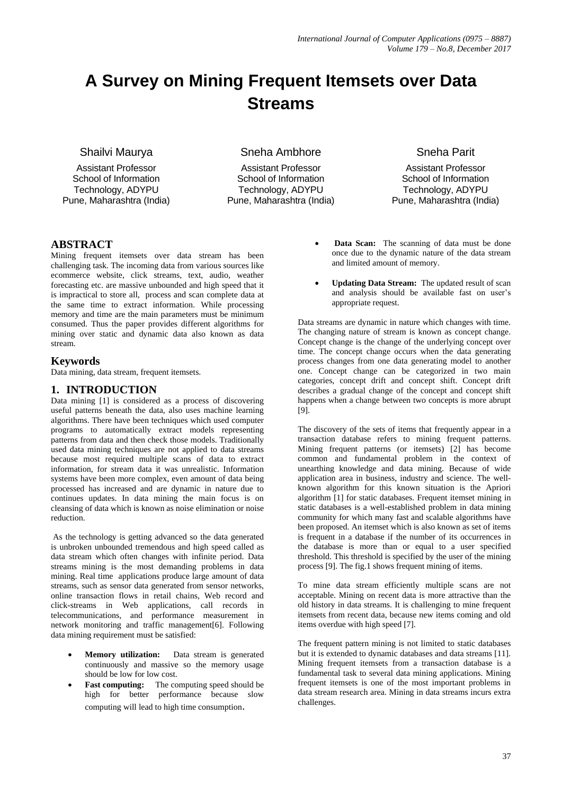# **A Survey on Mining Frequent Itemsets over Data Streams**

Shailvi Maurya

Assistant Professor School of Information Technology, ADYPU Pune, Maharashtra (India) Sneha Ambhore

Assistant Professor School of Information Technology, ADYPU Pune, Maharashtra (India) Sneha Parit

Assistant Professor School of Information Technology, ADYPU Pune, Maharashtra (India)

# **ABSTRACT**

Mining frequent itemsets over data stream has been challenging task. The incoming data from various sources like ecommerce website, click streams, text, audio, weather forecasting etc. are massive unbounded and high speed that it is impractical to store all, process and scan complete data at the same time to extract information. While processing memory and time are the main parameters must be minimum consumed. Thus the paper provides different algorithms for mining over static and dynamic data also known as data stream.

# **Keywords**

Data mining, data stream, frequent itemsets.

## **1. INTRODUCTION**

Data mining [1] is considered as a process of discovering useful patterns beneath the data, also uses machine learning algorithms. There have been techniques which used computer programs to automatically extract models representing patterns from data and then check those models. Traditionally used data mining techniques are not applied to data streams because most required multiple scans of data to extract information, for stream data it was unrealistic. Information systems have been more complex, even amount of data being processed has increased and are dynamic in nature due to continues updates. In data mining the main focus is on cleansing of data which is known as noise elimination or noise reduction.

As the technology is getting advanced so the data generated is unbroken unbounded tremendous and high speed called as data stream which often changes with infinite period. Data streams mining is the most demanding problems in data mining. Real time applications produce large amount of data streams, such as sensor data generated from sensor networks, online transaction flows in retail chains, Web record and click-streams in Web applications, call records in telecommunications, and performance measurement in network monitoring and traffic management[6]. Following data mining requirement must be satisfied:

- **Memory utilization:** Data stream is generated continuously and massive so the memory usage should be low for low cost.
- **Fast computing:** The computing speed should be high for better performance because slow computing will lead to high time consumption.
- **Data Scan:** The scanning of data must be done once due to the dynamic nature of the data stream and limited amount of memory.
- **Updating Data Stream:** The updated result of scan and analysis should be available fast on user's appropriate request.

Data streams are dynamic in nature which changes with time. The changing nature of stream is known as concept change. Concept change is the change of the underlying concept over time. The concept change occurs when the data generating process changes from one data generating model to another one. Concept change can be categorized in two main categories, concept drift and concept shift. Concept drift describes a gradual change of the concept and concept shift happens when a change between two concepts is more abrupt [9].

The discovery of the sets of items that frequently appear in a transaction database refers to mining frequent patterns. Mining frequent patterns (or itemsets) [2] has become common and fundamental problem in the context of unearthing knowledge and data mining. Because of wide application area in business, industry and science. The wellknown algorithm for this known situation is the Apriori algorithm [1] for static databases. Frequent itemset mining in static databases is a well-established problem in data mining community for which many fast and scalable algorithms have been proposed. An itemset which is also known as set of items is frequent in a database if the number of its occurrences in the database is more than or equal to a user specified threshold. This threshold is specified by the user of the mining process [9]. The fig.1 shows frequent mining of items.

To mine data stream efficiently multiple scans are not acceptable. Mining on recent data is more attractive than the old history in data streams. It is challenging to mine frequent itemsets from recent data, because new items coming and old items overdue with high speed [7].

The frequent pattern mining is not limited to static databases but it is extended to dynamic databases and data streams [11]. Mining frequent itemsets from a transaction database is a fundamental task to several data mining applications. Mining frequent itemsets is one of the most important problems in data stream research area. Mining in data streams incurs extra challenges.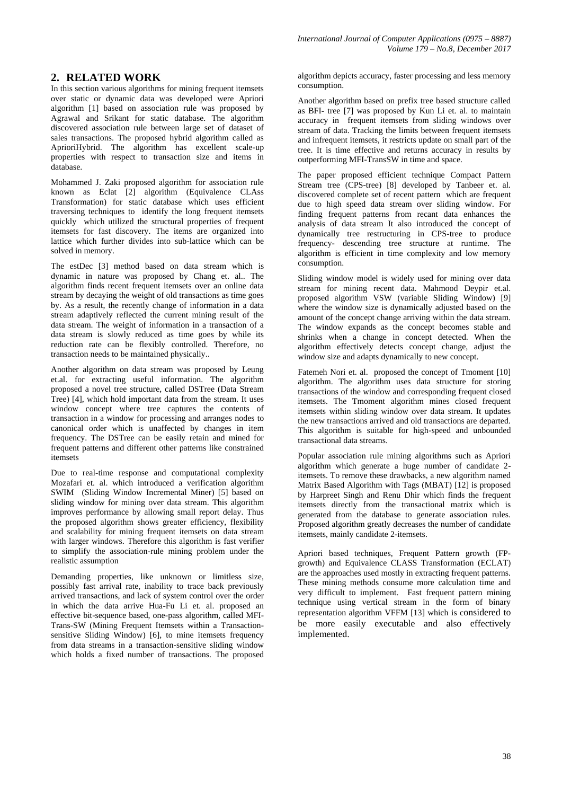## **2. RELATED WORK**

In this section various algorithms for mining frequent itemsets over static or dynamic data was developed were Apriori algorithm [1] based on association rule was proposed by Agrawal and Srikant for static database. The algorithm discovered association rule between large set of dataset of sales transactions. The proposed hybrid algorithm called as AprioriHybrid. The algorithm has excellent scale-up properties with respect to transaction size and items in database.

Mohammed J. Zaki proposed algorithm for association rule known as Eclat [2] algorithm (Equivalence CLAss Transformation) for static database which uses efficient traversing techniques to identify the long frequent itemsets quickly which utilized the structural properties of frequent itemsets for fast discovery. The items are organized into lattice which further divides into sub-lattice which can be solved in memory.

The estDec [3] method based on data stream which is dynamic in nature was proposed by Chang et. al.. The algorithm finds recent frequent itemsets over an online data stream by decaying the weight of old transactions as time goes by. As a result, the recently change of information in a data stream adaptively reflected the current mining result of the data stream. The weight of information in a transaction of a data stream is slowly reduced as time goes by while its reduction rate can be flexibly controlled. Therefore, no transaction needs to be maintained physically..

Another algorithm on data stream was proposed by Leung et.al. for extracting useful information. The algorithm proposed a novel tree structure, called DSTree (Data Stream Tree) [4], which hold important data from the stream. It uses window concept where tree captures the contents of transaction in a window for processing and arranges nodes to canonical order which is unaffected by changes in item frequency. The DSTree can be easily retain and mined for frequent patterns and different other patterns like constrained itemsets

Due to real-time response and computational complexity Mozafari et. al. which introduced a verification algorithm SWIM (Sliding Window Incremental Miner) [5] based on sliding window for mining over data stream. This algorithm improves performance by allowing small report delay. Thus the proposed algorithm shows greater efficiency, flexibility and scalability for mining frequent itemsets on data stream with larger windows. Therefore this algorithm is fast verifier to simplify the association-rule mining problem under the realistic assumption

Demanding properties, like unknown or limitless size, possibly fast arrival rate, inability to trace back previously arrived transactions, and lack of system control over the order in which the data arrive Hua-Fu Li et. al. proposed an effective bit-sequence based, one-pass algorithm, called MFI-Trans-SW (Mining Frequent Itemsets within a Transactionsensitive Sliding Window) [6], to mine itemsets frequency from data streams in a transaction-sensitive sliding window which holds a fixed number of transactions. The proposed

algorithm depicts accuracy, faster processing and less memory consumption.

Another algorithm based on prefix tree based structure called as BFI- tree [7] was proposed by Kun Li et. al. to maintain accuracy in frequent itemsets from sliding windows over stream of data. Tracking the limits between frequent itemsets and infrequent itemsets, it restricts update on small part of the tree. It is time effective and returns accuracy in results by outperforming MFI-TransSW in time and space.

The paper proposed efficient technique Compact Pattern Stream tree (CPS-tree) [8] developed by Tanbeer et. al. discovered complete set of recent pattern which are frequent due to high speed data stream over sliding window. For finding frequent patterns from recant data enhances the analysis of data stream It also introduced the concept of dynamically tree restructuring in CPS-tree to produce frequency- descending tree structure at runtime. The algorithm is efficient in time complexity and low memory consumption.

Sliding window model is widely used for mining over data stream for mining recent data. Mahmood Deypir et.al. proposed algorithm VSW (variable Sliding Window) [9] where the window size is dynamically adjusted based on the amount of the concept change arriving within the data stream. The window expands as the concept becomes stable and shrinks when a change in concept detected. When the algorithm effectively detects concept change, adjust the window size and adapts dynamically to new concept.

Fatemeh Nori et. al. proposed the concept of Tmoment [10] algorithm. The algorithm uses data structure for storing transactions of the window and corresponding frequent closed itemsets. The Tmoment algorithm mines closed frequent itemsets within sliding window over data stream. It updates the new transactions arrived and old transactions are departed. This algorithm is suitable for high-speed and unbounded transactional data streams.

Popular association rule mining algorithms such as Apriori algorithm which generate a huge number of candidate 2 itemsets. To remove these drawbacks, a new algorithm named Matrix Based Algorithm with Tags (MBAT) [12] is proposed by Harpreet Singh and Renu Dhir which finds the frequent itemsets directly from the transactional matrix which is generated from the database to generate association rules. Proposed algorithm greatly decreases the number of candidate itemsets, mainly candidate 2-itemsets.

Apriori based techniques, Frequent Pattern growth (FPgrowth) and Equivalence CLASS Transformation (ECLAT) are the approaches used mostly in extracting frequent patterns. These mining methods consume more calculation time and very difficult to implement. Fast frequent pattern mining technique using vertical stream in the form of binary representation algorithm VFFM [13] which is considered to be more easily executable and also effectively implemented.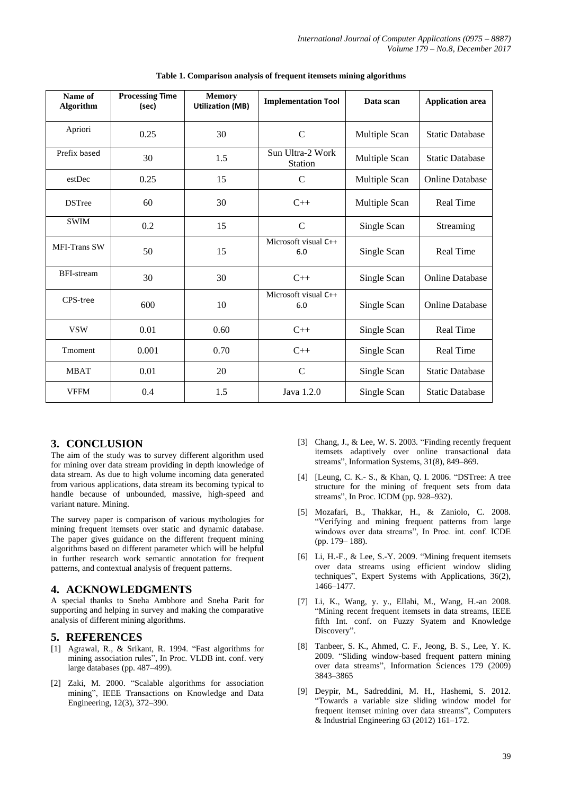| Name of<br><b>Algorithm</b> | <b>Processing Time</b><br>(sec) | <b>Memory</b><br><b>Utilization (MB)</b> | <b>Implementation Tool</b>  | Data scan     | <b>Application area</b> |
|-----------------------------|---------------------------------|------------------------------------------|-----------------------------|---------------|-------------------------|
| Apriori                     | 0.25                            | 30                                       | $\mathsf{C}$                | Multiple Scan | <b>Static Database</b>  |
| Prefix based                | 30                              | 1.5                                      | Sun Ultra-2 Work<br>Station | Multiple Scan | <b>Static Database</b>  |
| estDec                      | 0.25                            | 15                                       | $\mathsf{C}$                | Multiple Scan | <b>Online Database</b>  |
| <b>DSTree</b>               | 60                              | 30                                       | $C++$                       | Multiple Scan | Real Time               |
| <b>SWIM</b>                 | 0.2                             | 15                                       | $\mathcal{C}$               | Single Scan   | Streaming               |
| <b>MFI-Trans SW</b>         | 50                              | 15                                       | Microsoft visual C++<br>6.0 | Single Scan   | <b>Real Time</b>        |
| BFI-stream                  | 30                              | 30                                       | $C++$                       | Single Scan   | <b>Online Database</b>  |
| CPS-tree                    | 600                             | 10                                       | Microsoft visual C++<br>6.0 | Single Scan   | <b>Online Database</b>  |
| <b>VSW</b>                  | 0.01                            | 0.60                                     | $C++$                       | Single Scan   | <b>Real Time</b>        |
| Tmoment                     | 0.001                           | 0.70                                     | $C++$                       | Single Scan   | Real Time               |
| <b>MBAT</b>                 | 0.01                            | 20                                       | $\mathcal{C}$               | Single Scan   | <b>Static Database</b>  |
| <b>VFFM</b>                 | 0.4                             | 1.5                                      | Java 1.2.0                  | Single Scan   | <b>Static Database</b>  |

**Table 1. Comparison analysis of frequent itemsets mining algorithms**

#### **3. CONCLUSION**

The aim of the study was to survey different algorithm used for mining over data stream providing in depth knowledge of data stream. As due to high volume incoming data generated from various applications, data stream its becoming typical to handle because of unbounded, massive, high-speed and variant nature. Mining.

The survey paper is comparison of various mythologies for mining frequent itemsets over static and dynamic database. The paper gives guidance on the different frequent mining algorithms based on different parameter which will be helpful in further research work semantic annotation for frequent patterns, and contextual analysis of frequent patterns.

## **4. ACKNOWLEDGMENTS**

A special thanks to Sneha Ambhore and Sneha Parit for supporting and helping in survey and making the comparative analysis of different mining algorithms.

#### **5. REFERENCES**

- [1] Agrawal, R., & Srikant, R. 1994. "Fast algorithms for mining association rules", In Proc. VLDB int. conf. very large databases (pp. 487–499).
- [2] Zaki, M. 2000. "Scalable algorithms for association mining", IEEE Transactions on Knowledge and Data Engineering, 12(3), 372–390.
- [3] Chang, J., & Lee, W. S. 2003. "Finding recently frequent itemsets adaptively over online transactional data streams", Information Systems, 31(8), 849–869.
- [4] [Leung, C. K.- S., & Khan, O. I. 2006. "DSTree: A tree structure for the mining of frequent sets from data streams", In Proc. ICDM (pp. 928–932).
- [5] Mozafari, B., Thakkar, H., & Zaniolo, C. 2008. "Verifying and mining frequent patterns from large windows over data streams", In Proc. int. conf. ICDE (pp. 179– 188).
- [6] Li, H.-F., & Lee, S.-Y. 2009. "Mining frequent itemsets over data streams using efficient window sliding techniques", Expert Systems with Applications, 36(2), 1466–1477.
- [7] Li, K., Wang, y. y., Ellahi, M., Wang, H.-an 2008. "Mining recent frequent itemsets in data streams, IEEE fifth Int. conf. on Fuzzy Syatem and Knowledge Discovery".
- [8] Tanbeer, S. K., Ahmed, C. F., Jeong, B. S., Lee, Y. K. 2009. "Sliding window-based frequent pattern mining over data streams", Information Sciences 179 (2009) 3843–3865
- [9] Deypir, M., Sadreddini, M. H., Hashemi, S. 2012. "Towards a variable size sliding window model for frequent itemset mining over data streams", Computers & Industrial Engineering 63 (2012) 161–172.